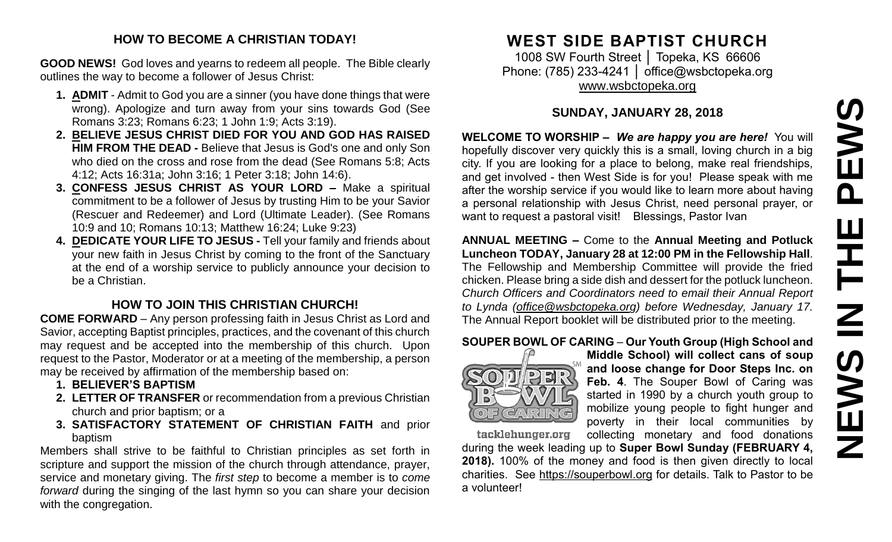# **NEWS IN THE PEWS**PEWS HH HH **NEWS**

#### **HOW TO BECOME A CHRISTIAN TODAY!**

**GOOD NEWS!** God loves and yearns to redeem all people. The Bible clearly outlines the way to become a follower of Jesus Christ:

- **1. ADMIT** Admit to God you are a sinner (you have done things that were wrong). Apologize and turn away from your sins towards God (See Romans 3:23; Romans 6:23; 1 John 1:9; Acts 3:19).
- **2. BELIEVE JESUS CHRIST DIED FOR YOU AND GOD HAS RAISED HIM FROM THE DEAD -** Believe that Jesus is God's one and only Son who died on the cross and rose from the dead (See Romans 5:8; Acts 4:12; Acts 16:31a; John 3:16; 1 Peter 3:18; John 14:6).
- **3. CONFESS JESUS CHRIST AS YOUR LORD –** Make a spiritual commitment to be a follower of Jesus by trusting Him to be your Savior (Rescuer and Redeemer) and Lord (Ultimate Leader). (See Romans 10:9 and 10; Romans 10:13; Matthew 16:24; Luke 9:23)
- **4. DEDICATE YOUR LIFE TO JESUS -** Tell your family and friends about your new faith in Jesus Christ by coming to the front of the Sanctuary at the end of a worship service to publicly announce your decision to be a Christian.

## **HOW TO JOIN THIS CHRISTIAN CHURCH!**

**COME FORWARD** – Any person professing faith in Jesus Christ as Lord and Savior, accepting Baptist principles, practices, and the covenant of this church may request and be accepted into the membership of this church. Upon request to the Pastor, Moderator or at a meeting of the membership, a person may be received by affirmation of the membership based on:

- **1. BELIEVER'S BAPTISM**
- **2. LETTER OF TRANSFER** or recommendation from a previous Christian church and prior baptism; or a
- **3. SATISFACTORY STATEMENT OF CHRISTIAN FAITH** and prior baptism

Members shall strive to be faithful to Christian principles as set forth in scripture and support the mission of the church through attendance, prayer, service and monetary giving. The *first step* to become a member is to *come forward* during the singing of the last hymn so you can share your decision with the congregation.

## **WEST SIDE BAPTIST CHURCH**

1008 SW Fourth Street │ Topeka, KS 66606 Phone: (785) 233-4241 │ [office@wsbctopeka.org](mailto:office@wsbctopeka.org) [www.wsbctopeka.org](http://www.wsbctopeka.org/)

## **SUNDAY, JANUARY 28, 2018**

**WELCOME TO WORSHIP –** *We are happy you are here!* You will hopefully discover very quickly this is a small, loving church in a big city. If you are looking for a place to belong, make real friendships, and get involved - then West Side is for you! Please speak with me after the worship service if you would like to learn more about having a personal relationship with Jesus Christ, need personal prayer, or want to request a pastoral visit! Blessings, Pastor Ivan

**ANNUAL MEETING –** Come to the **Annual Meeting and Potluck Luncheon TODAY, January 28 at 12:00 PM in the Fellowship Hall**. The Fellowship and Membership Committee will provide the fried chicken. Please bring a side dish and dessert for the potluck luncheon. *Church Officers and Coordinators need to email their Annual Report to Lynda [\(office@wsbctopeka.org](mailto:office@wsbctopeka.or)) before Wednesday, January 17.*  The Annual Report booklet will be distributed prior to the meeting.

## **SOUPER BOWL OF CARING** – **Our Youth Group (High School and**



**Middle School) will collect cans of soup and loose change for Door Steps Inc. on Feb. 4**. The Souper Bowl of Caring was started in 1990 by a church youth group to mobilize young people to fight hunger and poverty in their local communities by collecting monetary and food donations

tacklehunger.org

during the week leading up to **Super Bowl Sunday (FEBRUARY 4, 2018).** 100% of the money and food is then given directly to local charities. See [https://souperbowl.org](https://souperbowl.org/) for details. Talk to Pastor to be a volunteer!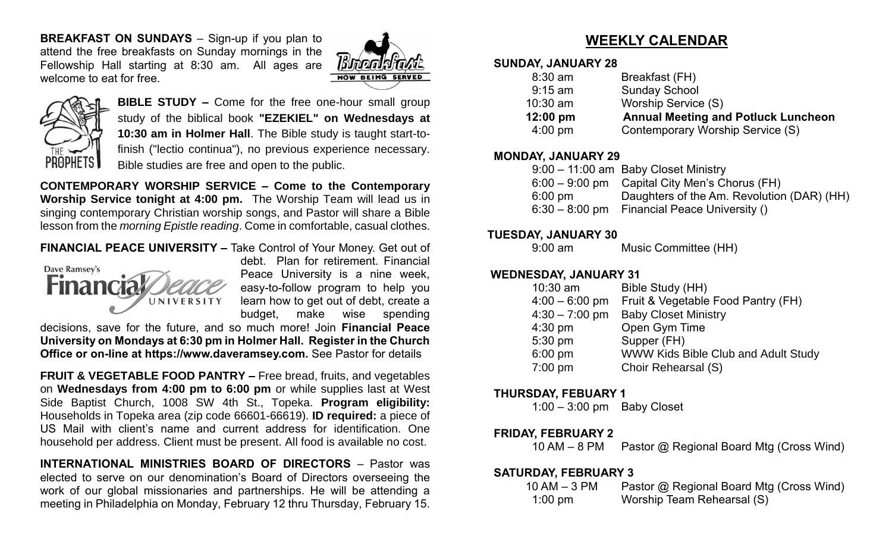**BREAKFAST ON SUNDAYS** – Sign-up if you plan to attend the free breakfasts on Sunday mornings in the Fellowship Hall starting at 8:30 am. All ages are welcome to eat for free.





**BIBLE STUDY –** Come for the free one-hour small group study of the biblical book **"EZEKIEL" on Wednesdays at 10:30 am in Holmer Hall**. The Bible study is taught start-tofinish ("lectio continua"), no previous experience necessary. Bible studies are free and open to the public.

**CONTEMPORARY WORSHIP SERVICE – Come to the Contemporary Worship Service tonight at 4:00 pm.** The Worship Team will lead us in singing contemporary Christian worship songs, and Pastor will share a Bible lesson from the *morning Epistle reading*. Come in comfortable, casual clothes.

#### **FINANCIAL PEACE UNIVERSITY –** Take Control of Your Money. Get out of



debt. Plan for retirement. Financial Peace University is a nine week, easy-to-follow program to help you learn how to get out of debt, create a budget, make wise spending

decisions, save for the future, and so much more! Join **Financial Peace University on Mondays at 6:30 pm in Holmer Hall. Register in the Church Office or on-line at https://www.daveramsey.com.** See Pastor for details

**FRUIT & VEGETABLE FOOD PANTRY –** Free bread, fruits, and vegetables on **Wednesdays from 4:00 pm to 6:00 pm** or while supplies last at West Side Baptist Church, 1008 SW 4th St., Topeka. **Program eligibility:**  Households in Topeka area (zip code 66601-66619). **ID required:** a piece of US Mail with client's name and current address for identification. One household per address. Client must be present. All food is available no cost.

**INTERNATIONAL MINISTRIES BOARD OF DIRECTORS** – Pastor was elected to serve on our denomination's Board of Directors overseeing the work of our global missionaries and partnerships. He will be attending a meeting in Philadelphia on Monday, February 12 thru Thursday, February 15.

## **WEEKLY CALENDAR**

#### **SUNDAY, JANUARY 28**

| $8:30$ am         | Breakfast (FH)                             |
|-------------------|--------------------------------------------|
| $9:15$ am         | <b>Sunday School</b>                       |
| $10:30$ am        | Worship Service (S)                        |
| 12:00 pm          | <b>Annual Meeting and Potluck Luncheon</b> |
| $4:00 \text{ pm}$ | Contemporary Worship Service (S)           |

#### **MONDAY, JANUARY 29**

|                   | $9:00 - 11:00$ am Baby Closet Ministry          |
|-------------------|-------------------------------------------------|
|                   | $6:00 - 9:00$ pm Capital City Men's Chorus (FH) |
| $6:00 \text{ pm}$ | Daughters of the Am. Revolution (DAR) (HH)      |
|                   | $6:30 - 8:00$ pm Financial Peace University ()  |

#### **TUESDAY, JANUARY 30**

9:00 am Music Committee (HH)

#### **WEDNESDAY, JANUARY 31**

| $10:30$ am       | Bible Study (HH)                    |
|------------------|-------------------------------------|
| $4:00 - 6:00$ pm | Fruit & Vegetable Food Pantry (FH)  |
| $4:30 - 7:00$ pm | <b>Baby Closet Ministry</b>         |
| $4:30$ pm        | Open Gym Time                       |
| 5:30 pm          | Supper (FH)                         |
| 6:00 pm          | WWW Kids Bible Club and Adult Study |
| 7:00 pm          | Choir Rehearsal (S)                 |

#### **THURSDAY, FEBUARY 1**

1:00 – 3:00 pm Baby Closet

#### **FRIDAY, FEBRUARY 2**

10 AM – 8 PM Pastor @ Regional Board Mtg (Cross Wind)

#### **SATURDAY, FEBRUARY 3**

| $10$ AM $-$ 3 PM  | Pastor @ Regional Board Mtg (Cross Wind) |
|-------------------|------------------------------------------|
| $1:00 \text{ pm}$ | Worship Team Rehearsal (S)               |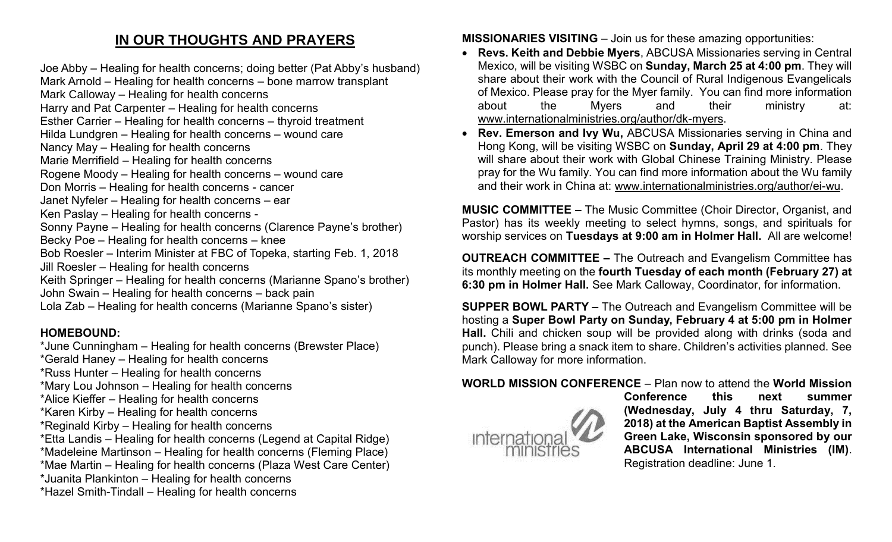## **IN OUR THOUGHTS AND PRAYERS**

Joe Abby – Healing for health concerns; doing better (Pat Abby's husband) Mark Arnold – Healing for health concerns – bone marrow transplant Mark Calloway – Healing for health concerns Harry and Pat Carpenter – Healing for health concerns Esther Carrier – Healing for health concerns – thyroid treatment Hilda Lundgren – Healing for health concerns – wound care Nancy May – Healing for health concerns Marie Merrifield – Healing for health concerns Rogene Moody – Healing for health concerns – wound care Don Morris – Healing for health concerns - cancer Janet Nyfeler – Healing for health concerns – ear Ken Paslay – Healing for health concerns - Sonny Payne – Healing for health concerns (Clarence Payne's brother) Becky Poe – Healing for health concerns – knee Bob Roesler – Interim Minister at FBC of Topeka, starting Feb. 1, 2018 Jill Roesler – Healing for health concerns Keith Springer – Healing for health concerns (Marianne Spano's brother) John Swain – Healing for health concerns – back pain Lola Zab – Healing for health concerns (Marianne Spano's sister)

## **HOMEBOUND:**

- \*June Cunningham Healing for health concerns (Brewster Place)
- \*Gerald Haney Healing for health concerns
- \*Russ Hunter Healing for health concerns
- \*Mary Lou Johnson Healing for health concerns
- \*Alice Kieffer Healing for health concerns
- \*Karen Kirby Healing for health concerns
- \*Reginald Kirby Healing for health concerns
- \*Etta Landis Healing for health concerns (Legend at Capital Ridge)
- \*Madeleine Martinson Healing for health concerns (Fleming Place)
- \*Mae Martin Healing for health concerns (Plaza West Care Center)
- \*Juanita Plankinton Healing for health concerns
- \*Hazel Smith-Tindall Healing for health concerns

**MISSIONARIES VISITING** – Join us for these amazing opportunities:

- **Revs. Keith and Debbie Myers**, ABCUSA Missionaries serving in Central Mexico, will be visiting WSBC on **Sunday, March 25 at 4:00 pm**. They will share about their work with the Council of Rural Indigenous Evangelicals of Mexico. Please pray for the Myer family. You can find more information about the Myers and their ministry at: [www.internationalministries.org/author/dk-myers.](http://www.internationalministries.org/author/dk-myers)
- **Rev. Emerson and Ivy Wu,** ABCUSA Missionaries serving in China and Hong Kong, will be visiting WSBC on **Sunday, April 29 at 4:00 pm**. They will share about their work with Global Chinese Training Ministry. Please pray for the Wu family. You can find more information about the Wu family and their work in China at: [www.internationalministries.org/author/ei-wu.](http://www.internationalministries.org/author/ei-wu)

**MUSIC COMMITTEE –** The Music Committee (Choir Director, Organist, and Pastor) has its weekly meeting to select hymns, songs, and spirituals for worship services on **Tuesdays at 9:00 am in Holmer Hall.** All are welcome!

**OUTREACH COMMITTEE –** The Outreach and Evangelism Committee has its monthly meeting on the **fourth Tuesday of each month (February 27) at 6:30 pm in Holmer Hall.** See Mark Calloway, Coordinator, for information.

**SUPPER BOWL PARTY –** The Outreach and Evangelism Committee will be hosting a **Super Bowl Party on Sunday, February 4 at 5:00 pm in Holmer Hall.** Chili and chicken soup will be provided along with drinks (soda and punch). Please bring a snack item to share. Children's activities planned. See Mark Calloway for more information.

## **WORLD MISSION CONFERENCE** – Plan now to attend the **World Mission**



**Conference this next summer (Wednesday, July 4 thru Saturday, 7, 2018) at the American Baptist Assembly in Green Lake, Wisconsin sponsored by our ABCUSA International Ministries (IM)**. Registration deadline: June 1.